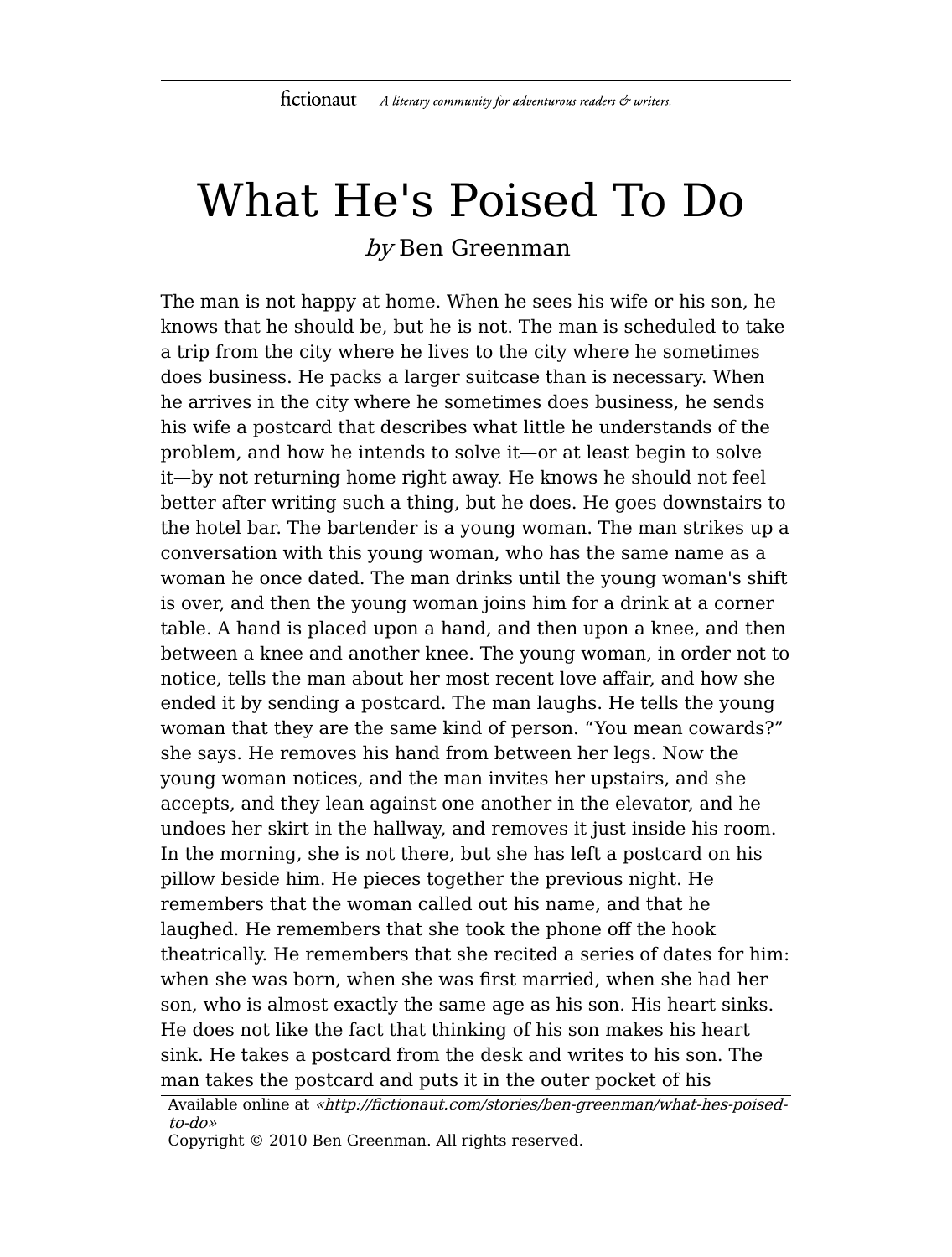## What He's Poised To Do

by Ben Greenman

The man is not happy at home. When he sees his wife or his son, he knows that he should be, but he is not. The man is scheduled to take a trip from the city where he lives to the city where he sometimes does business. He packs a larger suitcase than is necessary. When he arrives in the city where he sometimes does business, he sends his wife a postcard that describes what little he understands of the problem, and how he intends to solve it—or at least begin to solve it—by not returning home right away. He knows he should not feel better after writing such a thing, but he does. He goes downstairs to the hotel bar. The bartender is a young woman. The man strikes up a conversation with this young woman, who has the same name as a woman he once dated. The man drinks until the young woman's shift is over, and then the young woman joins him for a drink at a corner table. A hand is placed upon a hand, and then upon a knee, and then between a knee and another knee. The young woman, in order not to notice, tells the man about her most recent love affair, and how she ended it by sending a postcard. The man laughs. He tells the young woman that they are the same kind of person. "You mean cowards?" she says. He removes his hand from between her legs. Now the young woman notices, and the man invites her upstairs, and she accepts, and they lean against one another in the elevator, and he undoes her skirt in the hallway, and removes it just inside his room. In the morning, she is not there, but she has left a postcard on his pillow beside him. He pieces together the previous night. He remembers that the woman called out his name, and that he laughed. He remembers that she took the phone off the hook theatrically. He remembers that she recited a series of dates for him: when she was born, when she was first married, when she had her son, who is almost exactly the same age as his son. His heart sinks. He does not like the fact that thinking of his son makes his heart sink. He takes a postcard from the desk and writes to his son. The man takes the postcard and puts it in the outer pocket of his

Copyright © 2010 Ben Greenman. All rights reserved.

Available online at «http://fictionaut.com/stories/ben-greenman/what-hes-poisedto-do»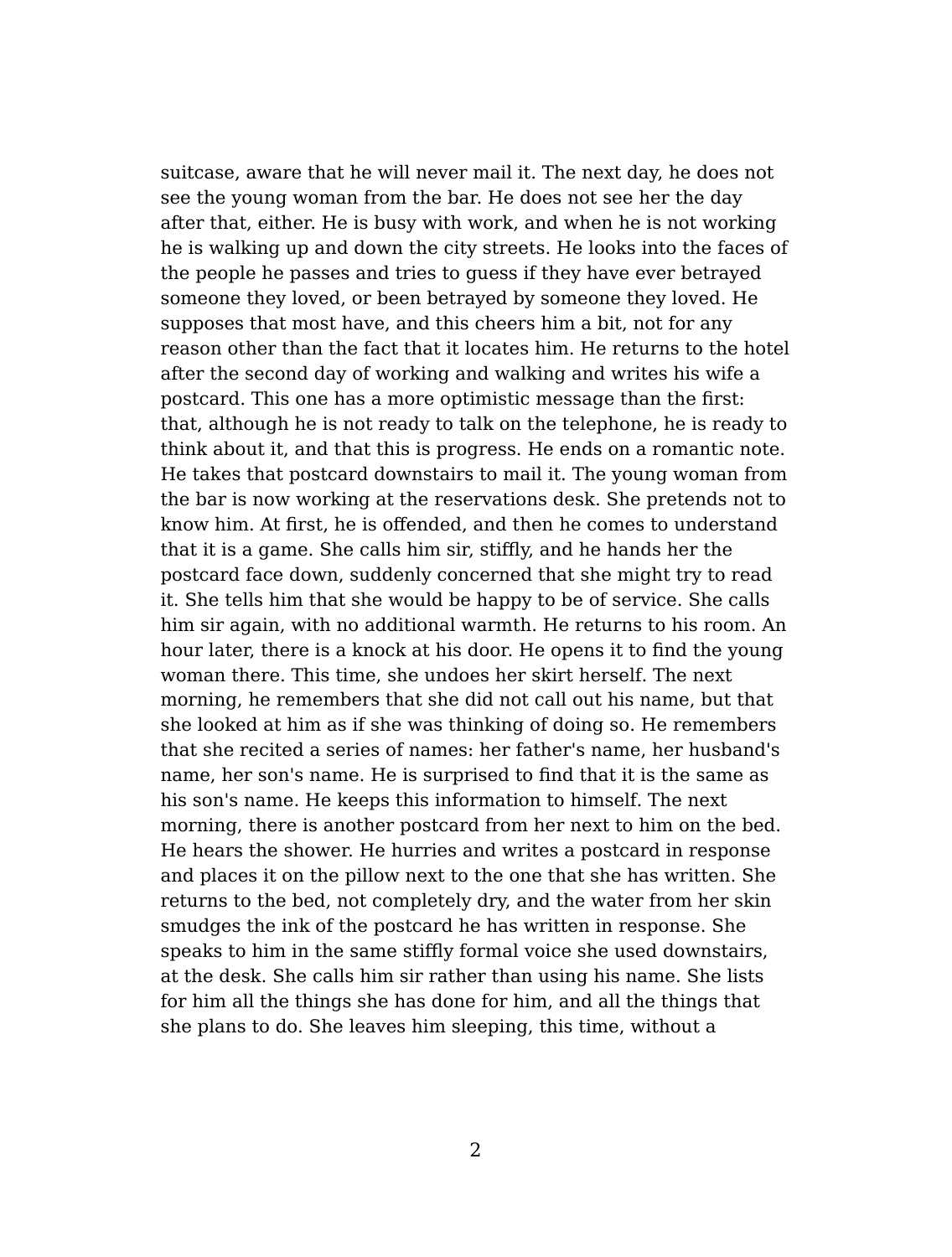suitcase, aware that he will never mail it. The next day, he does not see the young woman from the bar. He does not see her the day after that, either. He is busy with work, and when he is not working he is walking up and down the city streets. He looks into the faces of the people he passes and tries to guess if they have ever betrayed someone they loved, or been betrayed by someone they loved. He supposes that most have, and this cheers him a bit, not for any reason other than the fact that it locates him. He returns to the hotel after the second day of working and walking and writes his wife a postcard. This one has a more optimistic message than the first: that, although he is not ready to talk on the telephone, he is ready to think about it, and that this is progress. He ends on a romantic note. He takes that postcard downstairs to mail it. The young woman from the bar is now working at the reservations desk. She pretends not to know him. At first, he is offended, and then he comes to understand that it is a game. She calls him sir, stiffly, and he hands her the postcard face down, suddenly concerned that she might try to read it. She tells him that she would be happy to be of service. She calls him sir again, with no additional warmth. He returns to his room. An hour later, there is a knock at his door. He opens it to find the young woman there. This time, she undoes her skirt herself. The next morning, he remembers that she did not call out his name, but that she looked at him as if she was thinking of doing so. He remembers that she recited a series of names: her father's name, her husband's name, her son's name. He is surprised to find that it is the same as his son's name. He keeps this information to himself. The next morning, there is another postcard from her next to him on the bed. He hears the shower. He hurries and writes a postcard in response and places it on the pillow next to the one that she has written. She returns to the bed, not completely dry, and the water from her skin smudges the ink of the postcard he has written in response. She speaks to him in the same stiffly formal voice she used downstairs, at the desk. She calls him sir rather than using his name. She lists for him all the things she has done for him, and all the things that she plans to do. She leaves him sleeping, this time, without a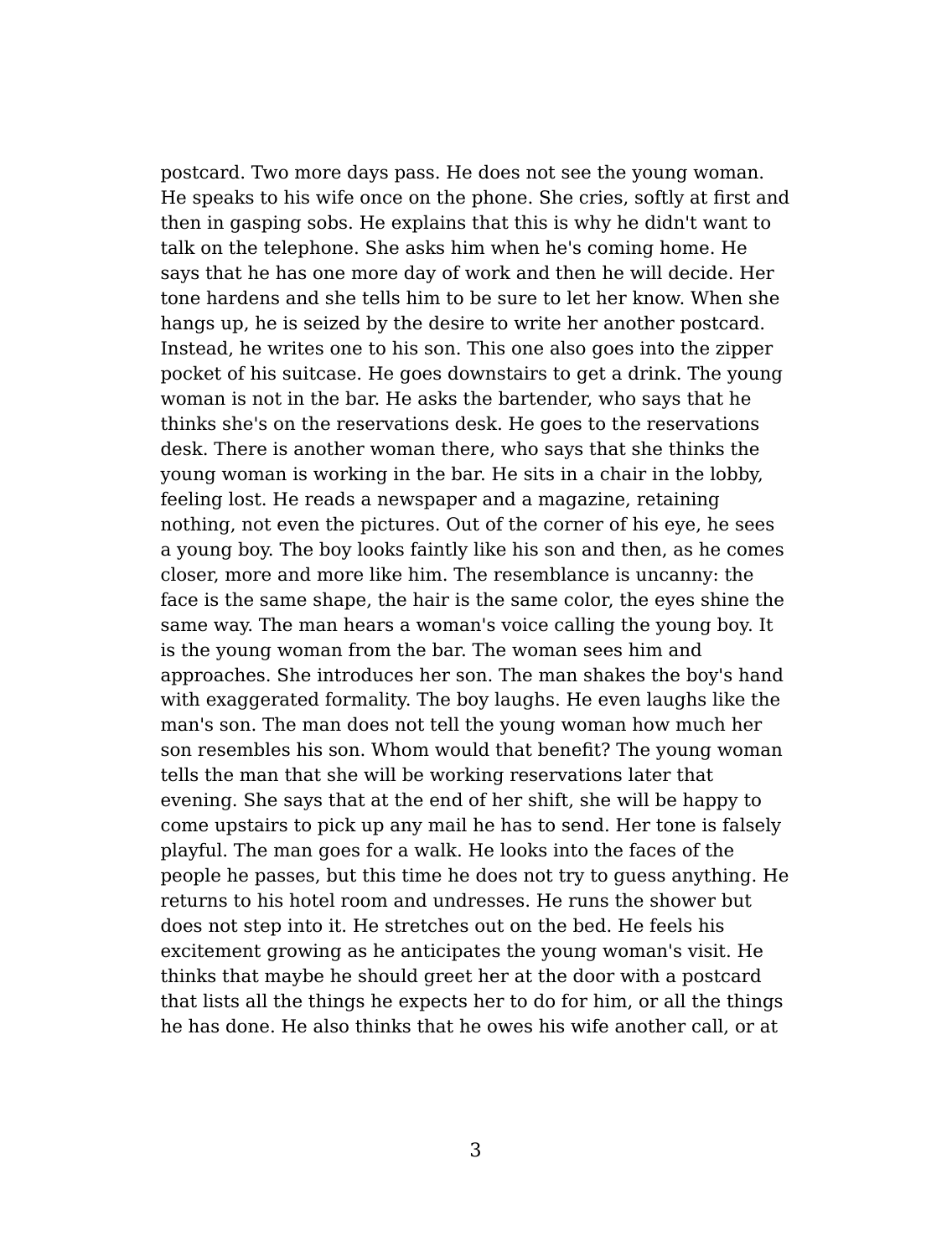postcard. Two more days pass. He does not see the young woman. He speaks to his wife once on the phone. She cries, softly at first and then in gasping sobs. He explains that this is why he didn't want to talk on the telephone. She asks him when he's coming home. He says that he has one more day of work and then he will decide. Her tone hardens and she tells him to be sure to let her know. When she hangs up, he is seized by the desire to write her another postcard. Instead, he writes one to his son. This one also goes into the zipper pocket of his suitcase. He goes downstairs to get a drink. The young woman is not in the bar. He asks the bartender, who says that he thinks she's on the reservations desk. He goes to the reservations desk. There is another woman there, who says that she thinks the young woman is working in the bar. He sits in a chair in the lobby, feeling lost. He reads a newspaper and a magazine, retaining nothing, not even the pictures. Out of the corner of his eye, he sees a young boy. The boy looks faintly like his son and then, as he comes closer, more and more like him. The resemblance is uncanny: the face is the same shape, the hair is the same color, the eyes shine the same way. The man hears a woman's voice calling the young boy. It is the young woman from the bar. The woman sees him and approaches. She introduces her son. The man shakes the boy's hand with exaggerated formality. The boy laughs. He even laughs like the man's son. The man does not tell the young woman how much her son resembles his son. Whom would that benefit? The young woman tells the man that she will be working reservations later that evening. She says that at the end of her shift, she will be happy to come upstairs to pick up any mail he has to send. Her tone is falsely playful. The man goes for a walk. He looks into the faces of the people he passes, but this time he does not try to guess anything. He returns to his hotel room and undresses. He runs the shower but does not step into it. He stretches out on the bed. He feels his excitement growing as he anticipates the young woman's visit. He thinks that maybe he should greet her at the door with a postcard that lists all the things he expects her to do for him, or all the things he has done. He also thinks that he owes his wife another call, or at